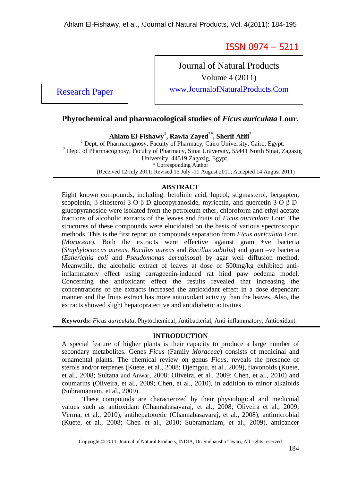ISSN 0974 – 5211

Journal of Natural Products Volume 4 (2011) Research Paper Www.JournalofNaturalProducts.Com

# **Phytochemical and pharmacological studies of** *Ficus auriculata* **Lour.**

**Ahlam El-Fishawy<sup>1</sup> , Rawia Zayed2\*, Sherif Afifi<sup>2</sup>**

<sup>1</sup> Dept. of Pharmacognosy, Faculty of Pharmacy, Cairo University, Cairo, Egypt. <sup>2</sup> Dept. of Pharmacognosy, Faculty of Pharmacy, Sinai University, 55441 North Sinai, Zagazig University, 44519 Zagazig, Egypt. \* Corresponding Author (Received 12 July 2011; Revised 15 July -11 August 2011; Accepted 14 August 2011)

# **ABSTRACT**

Eight known compounds, including: betulinic acid, lupeol, stigmasterol, bergapten, scopoletin, β-sitosterol-3-O-β-D-glucopyranoside, myricetin, and quercetin-3-O-β-Dglucopyranoside were isolated from the petroleum ether, chloroform and ethyl acetate fractions of alcoholic extracts of the leaves and fruits of *Ficus auriculata* Lour. The structures of these compounds were elucidated on the basis of various spectroscopic methods. This is the first report on compounds separation from *Ficus auriculata* Lour. (*Moraceae*). Both the extracts were effective against gram +ve bacteria (*Staphylococcus aureus*, *Bacillus aureus* and *Bacillus subtilis*) and gram –ve bacteria (*Esherichia coli* and *Pseudomonas aeruginosa*) by agar well diffusion method. Meanwhile, the alcoholic extract of leaves at dose of 500mg/kg exhibited antiinflammatory effect using carrageenin-induced rat hind paw oedema model. Concerning the antioxidant effect the results revealed that increasing the concentrations of the extracts increased the antioxidant effect in a dose dependant manner and the fruits extract has more antioxidant activity than the leaves. Also, the extracts showed slight hepatopratective and antidiabetic activities.

**Keywords:** *Ficus auriculata*; Phytochemical; Antibacterial; Anti-inflammatory; Antioxidant.

# **INTRODUCTION**

A special feature of higher plants is their capacity to produce a large number of secondary metabolites. Genes *Ficus* (Family *Moraceae*) consists of medicinal and ornamental plants. The chemical review on genus *Ficus*, reveals the presence of sterols and/or terpenes (Kuete, et al., 2008; Djemgou, et al., 2009), flavonoids (Kuete, et al., 2008; Sultana and Anwar, 2008; Oliveira, et al., 2009; Chen, et al., 2010) and coumarins (Oliveira, et al., 2009; Chen, et al., 2010), in addition to minor alkaloids (Subramaniam, et al., 2009).

These compounds are characterized by their physiological and medicinal values such as antioxidant (Channabasavaraj, et al., 2008; Oliveira et al., 2009; Verma, et al., 2010), antihepatotoxic (Channabasavaraj, et al., 2008), antimicrobial (Kuete, et al., 2008; Chen et al., 2010; Subramaniam, et al., 2009), anticancer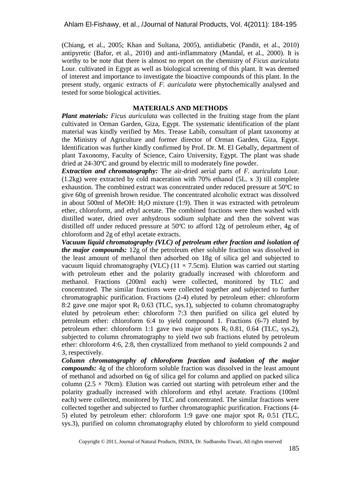(Chiang, et al., 2005; Khan and Sultana, 2005), antidiabetic (Pandit, et al., 2010) antipyretic (Bafor, et al., 2010) and anti-inflammatory (Mandal, et al., 2000). It is worthy to be note that there is almost no report on the chemistry of *Ficus auriculata* Lour. cultivated in Egypt as well as biological screening of this plant. It was deemed of interest and importance to investigate the bioactive compounds of this plant. In the present study, organic extracts of *F. auriculata* were phytochemically analysed and tested for some biological activities.

### **MATERIALS AND METHODS**

*Plant materials: Ficus auriculata* was collected in the fruiting stage from the plant cultivated in Orman Garden, Giza, Egypt. The systematic identification of the plant material was kindly verified by Mrs. Trease Labib, consultant of plant taxonomy at the Ministry of Agriculture and former director of Orman Garden, Giza, Egypt. Identification was further kindly confirmed by Prof. Dr. M. El Gebally, department of plant Taxonomy, Faculty of Science, Cairo University, Egypt. The plant was shade dried at 24-30ºC and ground by electric mill to moderately fine powder.

*Extraction and chromatography:* The air-dried aerial parts of *F. auriculata* Lour. (1.2kg) were extracted by cold maceration with 70% ethanol (5L. x 3) till complete exhaustion. The combined extract was concentrated under reduced pressure at 50ºC to give 60g of greenish brown residue. The concentrated alcoholic extract was dissolved in about 500ml of MeOH:  $H<sub>2</sub>O$  mixture (1:9). Then it was extracted with petroleum ether, chloroform, and ethyl acetate. The combined fractions were then washed with distilled water, dried over anhydrous sodium sulphate and then the solvent was distilled off under reduced pressure at 50ºC to afford 12g of petroleum ether, 4g of chloroform and 2g of ethyl acetate extracts.

*Vacuum liquid chromatography (VLC) of petroleum ether fraction and isolation of the major compounds:* 12g of the petroleum ether soluble fraction was dissolved in the least amount of methanol then adsorbed on 18g of silica gel and subjected to vacuum liquid chromatography (VLC) ( $11 \times 7.5$ cm). Elution was carried out starting with petroleum ether and the polarity gradually increased with chloroform and methanol. Fractions (200ml each) were collected, monitored by TLC and concentrated. The similar fractions were collected together and subjected to further chromatographic purification. Fractions (2-4) eluted by petroleum ether: chloroform 8:2 gave one major spot  $R_f$  0.63 (TLC, sys.1), subjected to column chromatography eluted by petroleum ether: chloroform 7:3 then purified on silica gel eluted by petroleum ether: chloroform 6:4 to yield compound 1. Fractions (6-7) eluted by petroleum ether: chloroform 1:1 gave two major spots  $R_f$  0.81, 0.64 (TLC, sys.2), subjected to column chromatography to yield two sub fractions eluted by petroleum ether: chloroform 4:6, 2:8, then crystallized from methanol to yield compounds 2 and 3, respectively.

*Column chromatography of chloroform fraction and isolation of the major compounds:* 4g of the chloroform soluble fraction was dissolved in the least amount of methanol and adsorbed on 6g of silica gel for column and applied on packed silica column ( $2.5 \times 70$ cm). Elution was carried out starting with petroleum ether and the polarity gradually increased with chloroform and ethyl acetate. Fractions (100ml each) were collected, monitored by TLC and concentrated. The similar fractions were collected together and subjected to further chromatographic purification. Fractions (4- 5) eluted by petroleum ether: chloroform 1:9 gave one major spot  $R_f$  0.51 (TLC, sys.3), purified on column chromatography eluted by chloroform to yield compound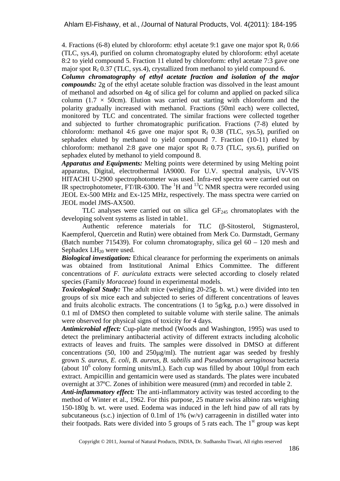4. Fractions (6-8) eluted by chloroform: ethyl acetate 9:1 gave one major spot  $R_f$  0.66 (TLC, sys.4), purified on column chromatography eluted by chloroform: ethyl acetate 8:2 to yield compound 5. Fraction 11 eluted by chloroform: ethyl acetate 7:3 gave one major spot  $R_f$  0.37 (TLC, sys.4), crystallized from methanol to yield compound 6.

*Column chromatography of ethyl acetate fraction and isolation of the major compounds:* 2g of the ethyl acetate soluble fraction was dissolved in the least amount of methanol and adsorbed on 4g of silica gel for column and applied on packed silica column (1.7  $\times$  50cm). Elution was carried out starting with chloroform and the polarity gradually increased with methanol. Fractions (50ml each) were collected, monitored by TLC and concentrated. The similar fractions were collected together and subjected to further chromatographic purification. Fractions (7-8) eluted by chloroform: methanol 4:6 gave one major spot  $R_f$  0.38 (TLC, sys.5), purified on sephadex eluted by methanol to yield compound 7. Fraction (10-11) eluted by chloroform: methanol 2:8 gave one major spot  $R_f$  0.73 (TLC, sys.6), purified on sephadex eluted by methanol to yield compound 8.

*Apparatus and Equipments:* Melting points were determined by using Melting point apparatus, Digital, electrothermal IA9000. For U.V. spectral analysis, UV-VIS HITACHI U-2900 spectrophotometer was used. Infra-red spectra were carried out on IR spectrophotometer, FT/IR-6300. The  ${}^{1}H$  and  ${}^{13}C$  NMR spectra were recorded using JEOL Ex-500 MHz and Ex-125 MHz, respectively. The mass spectra were carried on JEOL model JMS-AX500.

TLC analyses were carried out on silica gel  $GF<sub>245</sub>$  chromatoplates with the developing solvent systems as listed in table1.

Authentic reference materials for TLC (β-Sitosterol, Stigmasterol, Kaempferol, Quercetin and Rutin) were obtained from Merk Co. Darmstadt, Germany (Batch number 715439). For column chromatography, silica gel 60 – 120 mesh and Sephadex  $LH_{20}$  were used.

*Biological investigation:* Ethical clearance for performing the experiments on animals was obtained from Institutional Animal Ethics Committee. The different concentrations of *F. auriculata* extracts were selected according to closely related species (Family *Moraceae*) found in experimental models.

*Toxicological Study:* The adult mice (weighing 20-25g. b. wt.) were divided into ten groups of six mice each and subjected to series of different concentrations of leaves and fruits alcoholic extracts. The concentrations  $(1 \text{ to } 5g/kg, p.o.)$  were dissolved in 0.1 ml of DMSO then completed to suitable volume with sterile saline. The animals were observed for physical signs of toxicity for 4 days.

*Antimicrobial effect:* Cup-plate method (Woods and Washington, 1995) was used to detect the preliminary antibacterial activity of different extracts including alcoholic extracts of leaves and fruits. The samples were dissolved in DMSO at different concentrations (50, 100 and 250µg/ml). The nutrient agar was seeded by freshly grown *S. aureus*, *E. coli*, *B. aureus*, *B. subtilis* and *Pseudomonas aeruginosa* bacteria (about  $10^6$  colony forming units/mL). Each cup was filled by about  $100\mu$ l from each extract. Ampicillin and gentamicin were used as standards. The plates were incubated overnight at 37ºC. Zones of inhibition were measured (mm) and recorded in table 2.

*Anti-inflammatory effect:* The anti-inflammatory activity was tested according to the method of Winter et al., 1962. For this purpose, 25 mature swiss albino rats weighing 150-180g b. wt. were used. Eodema was induced in the left hind paw of all rats by subcutaneous (s.c.) injection of 0.1ml of 1% (w/v) carrageenin in distilled water into their footpads. Rats were divided into 5 groups of 5 rats each. The  $1<sup>st</sup>$  group was kept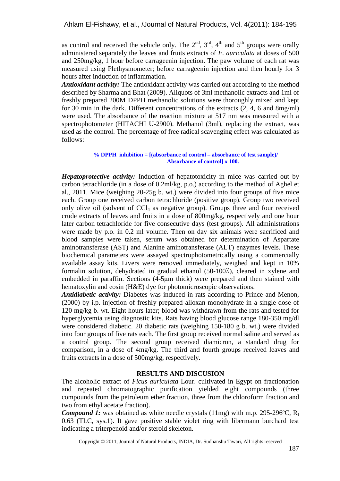as control and received the vehicle only. The  $2<sup>nd</sup>$ ,  $3<sup>rd</sup>$ ,  $4<sup>th</sup>$  and  $5<sup>th</sup>$  groups were orally administered separately the leaves and fruits extracts of *F. auriculata* at doses of 500 and 250mg/kg, 1 hour before carrageenin injection. The paw volume of each rat was measured using Plethysmometer; before carrageenin injection and then hourly for 3 hours after induction of inflammation.

*Antioxidant activity:* The antioxidant activity was carried out according to the method described by Sharma and Bhat (2009). Aliquots of 3ml methanolic extracts and 1ml of freshly prepared 200M DPPH methanolic solutions were thoroughly mixed and kept for 30 min in the dark. Different concentrations of the extracts (2, 4, 6 and 8mg/ml) were used. The absorbance of the reaction mixture at 517 nm was measured with a spectrophotometer (HITACHI U-2900). Methanol (3ml), replacing the extract, was used as the control. The percentage of free radical scavenging effect was calculated as follows:

#### **% DPPH inhibition = [(absorbance of control – absorbance of test sample)/ Absorbance of control] x 100.**

*Hepatoprotective activity:* Induction of hepatotoxicity in mice was carried out by carbon tetrachloride (in a dose of 0.2ml/kg, p.o.) according to the method of Aghel et al., 2011. Mice (weighing 20-25g b. wt.) were divided into four groups of five mice each. Group one received carbon tetrachloride (positive group). Group two received only olive oil (solvent of  $CCl<sub>4</sub>$  as negative group). Groups three and four received crude extracts of leaves and fruits in a dose of 800mg/kg, respectively and one hour later carbon tetrachloride for five consecutive days (test groups). All administrations were made by p.o. in 0.2 ml volume. Then on day six animals were sacrificed and blood samples were taken, serum was obtained for determination of Aspartate aminotransferase (AST) and Alanine aminotransferase (ALT) enzymes levels. These biochemical parameters were assayed spectrophotometrically using a commercially available assay kits. Livers were removed immediately, weighed and kept in 10% formalin solution, dehydrated in gradual ethanol (50-100٪), cleared in xylene and embedded in paraffin. Sections (4-5µm thick) were prepared and then stained with hematoxylin and eosin (H&E) dye for photomicroscopic observations.

*Antidiabetic activity:* Diabetes was induced in rats according to Prince and Menon, (2000) by i.p. injection of freshly prepared alloxan monohydrate in a single dose of 120 mg/kg b. wt. Eight hours later; blood was withdrawn from the rats and tested for hyperglycemia using diagnostic kits. Rats having blood glucose range 180-350 mg/dl were considered diabetic. 20 diabetic rats (weighing 150-180 g b. wt.) were divided into four groups of five rats each. The first group received normal saline and served as a control group. The second group received diamicron, a standard drug for comparison, in a dose of 4mg/kg. The third and fourth groups received leaves and fruits extracts in a dose of 500mg/kg, respectively.

### **RESULTS AND DISCUSION**

The alcoholic extract of *Ficus auriculata* Lour. cultivated in Egypt on fractionation and repeated chromatographic purification yielded eight compounds (three compounds from the petroleum ether fraction, three from the chloroform fraction and two from ethyl acetate fraction).

**Compound 1:** was obtained as white needle crystals  $(11mg)$  with m.p. 295-296°C,  $R_f$ 0.63 (TLC, sys.1). It gave positive stable violet ring with libermann burchard test indicating a triterpenoid and/or steroid skeleton.

Copyright © 2011, Journal of Natural Products, INDIA, Dr. Sudhanshu Tiwari, All rights reserved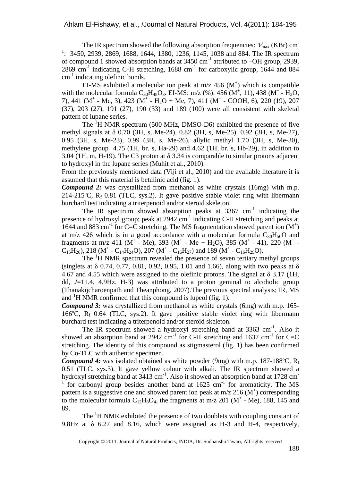The IR spectrum showed the following absorption frequencies:  $V_{\text{max}}$  (KBr) cm<sup>-</sup> <sup>1</sup>: 3450, 2939, 2869, 1688, 1644, 1380, 1236, 1145, 1038 and 884. The IR spectrum of compound 1 showed absorption bands at  $3450 \text{ cm}^{-1}$  attributed to  $-OH$  group, 2939,  $2869$  cm<sup>-1</sup> indicating C-H stretching, 1688 cm<sup>-1</sup> for carboxylic group, 1644 and 884  $cm<sup>-1</sup>$  indicating olefinic bonds.

EI-MS exhibited a molecular ion peak at  $m/z$  456 (M<sup>+</sup>) which is compatible with the molecular formula  $C_{30}H_{48}O_3$ . EI-MS: m/z (%): 456 (M<sup>+</sup>, 11), 438 (M<sup>+</sup> - H<sub>2</sub>O, 7), 441 ( $M^+$  - Me, 3), 423 ( $M^+$  - H<sub>2</sub>O + Me, 7), 411 ( $M^+$  - COOH, 6), 220 (19), 207 (37), 203 (27), 191 (27), 190 (33) and 189 (100) were all consistent with skeletal pattern of lupane series.

The  ${}^{1}H$  NMR spectrum (500 MHz, DMSO-D6) exhibited the presence of five methyl signals at δ 0.70 (3H, s, Me-24), 0.82 (3H, s, Me-25), 0.92 (3H, s, Me-27), 0.95 (3H, s, Me-23), 0.99 (3H, s, Me-26), allylic methyl 1.70 (3H, s, Me-30), methylene group 4.75 (1H, br. s, Ha-29) and 4.62 (1H, br. s, Hb-29), in addition to 3.04 (1H, m, H-19). The C3 proton at δ 3.34 is comparable to similar protons adjacent to hydroxyl in the lupane series (Muhit et al., 2010).

From the previously mentioned data (Viji et al., 2010) and the available literature it is assumed that this material is betulinic acid (fig. 1).

*Compound 2:* was crystallized from methanol as white crystals (16mg) with m.p. 214-215°C,  $R_f$  0.81 (TLC, sys.2). It gave positive stable violet ring with libermann burchard test indicating a triterpenoid and/or steroid skeleton.

The IR spectrum showed absorption peaks at  $3367 \text{ cm}^{-1}$  indicating the presence of hydroxyl group; peak at  $2942 \text{ cm}^{-1}$  indicating C-H stretching and peaks at 1644 and 883 cm<sup>-1</sup> for C=C stretching. The MS fragmentation showed parent ion  $(M^+)$ at m/z 426 which is in a good accordance with a molecular formula  $C_{30}H_{50}O$  and fragments at m/z 411 (M<sup>+</sup> - Me), 393 (M<sup>+</sup> - Me + H<sub>2</sub>O), 385 (M<sup>+</sup> - 41), 220 (M<sup>+</sup> - $C_{15}H_{26}$ , 218 (M<sup>+</sup> - C<sub>14</sub>H<sub>24</sub>O), 207 (M<sup>+</sup> - C<sub>16</sub>H<sub>27</sub>) and 189 (M<sup>+</sup> - C<sub>16</sub>H<sub>29</sub>O).

The <sup>1</sup>H NMR spectrum revealed the presence of seven tertiary methyl groups (singlets at  $\delta$  0.74, 0.77, 0.81, 0.92, 0.95, 1.01 and 1.66), along with two peaks at  $\delta$ 4.67 and 4.55 which were assigned to the olefinic protons. The signal at  $\delta$  3.17 (1H, dd, *J*=11.4, 4.9Hz, H-3) was attributed to a proton geminal to alcoholic group (Thanakijcharoenpath and Theanphong, 2007).The previous spectral analysis; IR, MS and  ${}^{1}$ H NMR confirmed that this compound is lupeol (fig. 1).

*Compound 3:* was crystallized from methanol as white crystals (6mg) with m.p. 165-166 $\degree$ C, R<sub>f</sub> 0.64 (TLC, sys.2). It gave positive stable violet ring with libermann burchard test indicating a triterpenoid and/or steroid skeleton.

The IR spectrum showed a hydroxyl stretching band at 3363 cm<sup>-1</sup>. Also it showed an absorption band at 2942 cm<sup>-1</sup> for C-H stretching and 1637 cm<sup>-1</sup> for C=C stretching. The identity of this compound as stigmasterol (fig. 1) has been confirmed by Co-TLC with authentic specimen.

*Compound 4*: was isolated obtained as white powder (9mg) with m.p. 187-188°C, Rf 0.51 (TLC, sys.3). It gave yellow colour with alkali. The IR spectrum showed a hydroxyl stretching band at  $3413 \text{ cm}^{-1}$ . Also it showed an absorption band at 1728 cm <sup>1</sup> for carbonyl group besides another band at  $1625 \text{ cm}^{-1}$  for aromaticity. The MS pattern is a suggestive one and showed parent ion peak at  $m/z$  216 ( $M^+$ ) corresponding to the molecular formula  $C_{12}H_8O_4$ , the fragments at m/z 201 (M<sup>+</sup> - Me), 188, 145 and 89.

The  ${}^{1}H$  NMR exhibited the presence of two doublets with coupling constant of 9.8Hz at  $\delta$  6.27 and 8.16, which were assigned as H-3 and H-4, respectively,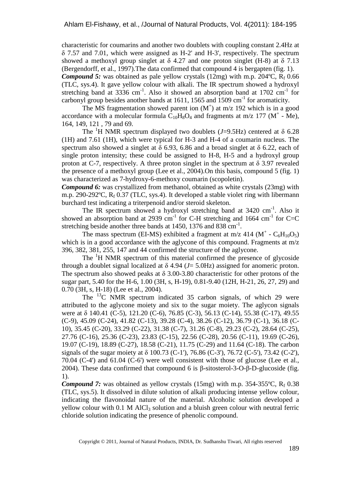characteristic for coumarins and another two doublets with coupling constant 2.4Hz at δ 7.57 and 7.01, which were assigned as H-2' and H-3', respectively. The spectrum showed a methoxyl group singlet at  $\delta$  4.27 and one proton singlet (H-8) at  $\delta$  7.13 (Bergendorff, et al., 1997).The data confirmed that compound 4 is bergapten (fig. 1). **Compound 5:** was obtained as pale yellow crystals  $(12mg)$  with m.p.  $204^{\circ}$ C,  $R_f$  0.66 (TLC, sys.4). It gave yellow colour with alkali. The IR spectrum showed a hydroxyl stretching band at 3336 cm<sup>-1</sup>. Also it showed an absorption band at  $1702 \text{ cm}^{-1}$  for carbonyl group besides another bands at 1611, 1565 and 1509  $\text{cm}^{-1}$  for aromaticity.

The MS fragmentation showed parent ion  $(M<sup>+</sup>)$  at m/z 192 which is in a good accordance with a molecular formula  $\dot{C}_{10}H_8O_4$  and fragments at m/z 177 (M<sup>+</sup> - Me), 164, 149, 121 , 79 and 69.

The <sup>1</sup>H NMR spectrum displayed two doublets ( $J=9.5$ Hz) centered at  $\delta$  6.28 (1H) and 7.61 (1H), which were typical for H-3 and H-4 of a coumarin nucleus. The spectrum also showed a singlet at  $\delta$  6.93, 6.86 and a broad singlet at  $\delta$  6.22, each of single proton intensity; these could be assigned to H-8, H-5 and a hydroxyl group proton at C-7, respectively. A three proton singlet in the spectrum at  $\delta$  3.97 revealed the presence of a methoxyl group (Lee et al., 2004).On this basis, compound 5 (fig. 1) was characterized as 7-hydroxy-6-methoxy coumarin (scopoletin).

*Compound 6:* was crystallized from methanol, obtained as white crystals (23mg) with m.p. 290-292°C, R<sub>f</sub> 0.37 (TLC, sys.4). It developed a stable violet ring with libermann burchard test indicating a triterpenoid and/or steroid skeleton.

The IR spectrum showed a hydroxyl stretching band at 3420 cm<sup>-1</sup>. Also it showed an absorption band at 2939 cm<sup>-1</sup> for C-H stretching and 1664 cm<sup>-1</sup> for C=C stretching beside another three bands at  $1450$ ,  $1376$  and  $838$  cm<sup>-1</sup>.

The mass spectrum (EI-MS) exhibited a fragment at m/z 414 ( $M^+$  -  $C_6H_{10}O_5$ ) which is in a good accordance with the aglycone of this compound. Fragments at m/z 396, 382, 381, 255, 147 and 44 confirmed the structure of the aglycone.

The <sup>1</sup>H NMR spectrum of this material confirmed the presence of glycoside through a doublet signal localized at  $\delta$  4.94 ( $J = 5.0$ Hz) assigned for anomeric proton. The spectrum also showed peaks at  $\delta$  3.00-3.80 characteristic for other protons of the sugar part, 5.40 for the H-6, 1.00 (3H, s, H-19), 0.81-9.40 (12H, H-21, 26, 27, 29) and 0.70 (3H, s, H-18) (Lee et al., 2004).

The  $^{13}$ C NMR spectrum indicated 35 carbon signals, of which 29 were attributed to the aglycone moiety and six to the sugar moiety. The aglycon signals were at δ 140.41 (C-5), 121.20 (C-6), 76.85 (C-3), 56.13 (C-14), 55.38 (C-17), 49.55 (C-9), 45.09 (C-24), 41.82 (C-13), 39.28 (C-4), 38.26 (C-12), 36.79 (C-1), 36.18 (C-10), 35.45 (C-20), 33.29 (C-22), 31.38 (C-7), 31.26 (C-8), 29.23 (C-2), 28.64 (C-25), 27.76 (C-16), 25.36 (C-23), 23.83 (C-15), 22.56 (C-28), 20.56 (C-11), 19.69 (C-26), 19.07 (C-19), 18.89 (C-27), 18.58 (C-21), 11.75 (C-29) and 11.64 (C-18). The carbon signals of the sugar moiety at δ 100.73 (C-1'), 76.86 (C-3'), 76.72 (C-5'), 73.42 (C-2'), 70.04 (C-4') and 61.04 (C-6') were well consistent with those of glucose (Lee et al., 2004). These data confirmed that compound 6 is β-sitosterol-3-O-β-D-glucoside (fig. 1).

**Compound 7:** was obtained as yellow crystals  $(15mg)$  with m.p. 354-355°C,  $R_f$  0.38 (TLC, sys.5). It dissolved in dilute solution of alkali producing intense yellow colour, indicating the flavonoidal nature of the material. Alcoholic solution developed a yellow colour with  $0.1$  M AlCl<sub>3</sub> solution and a bluish green colour with neutral ferric chloride solution indicating the presence of phenolic compound.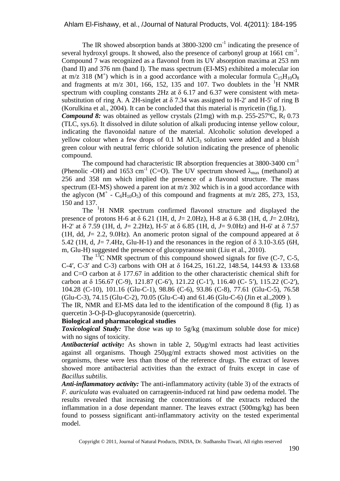The IR showed absorption bands at  $3800-3200$  cm<sup>-1</sup> indicating the presence of several hydroxyl groups. It showed, also the presence of carbonyl group at  $1661 \text{ cm}^{-1}$ . Compound 7 was recognized as a flavonol from its UV absorption maxima at 253 nm (band II) and 376 nm (band I). The mass spectrum (EI-MS) exhibited a molecular ion at m/z 318 (M<sup>+</sup>) which is in a good accordance with a molecular formula  $C_{15}H_{10}O_8$ and fragments at m/z 301, 166, 152, 135 and 107. Two doublets in the  ${}^{1}H$  NMR spectrum with coupling constants 2Hz at  $\delta$  6.17 and 6.37 were consistent with metasubstitution of ring A. A 2H-singlet at  $\delta$  7.34 was assigned to H-2' and H-5' of ring B (Korulkina et al., 2004). It can be concluded that this material is myricetin (fig.1). **Compound 8:** was obtained as yellow crystals  $(21mg)$  with m.p.  $255-257^{\circ}C$ ,  $R_f$  0.73 (TLC, sys.6). It dissolved in dilute solution of alkali producing intense yellow colour, indicating the flavonoidal nature of the material. Alcoholic solution developed a yellow colour when a few drops of  $0.1 \text{ M }$  AlCl<sub>3</sub> solution were added and a bluish green colour with neutral ferric chloride solution indicating the presence of phenolic

The compound had characteristic IR absorption frequencies at 3800-3400 cm<sup>-1</sup> (Phenolic -OH) and 1653 cm<sup>-1</sup> (C=O). The UV spectrum showed  $\lambda_{\text{max}}$  (methanol) at 256 and 358 nm which implied the presence of a flavonol structure. The mass spectrum (EI-MS) showed a parent ion at m/z 302 which is in a good accordance with the aglycon  $(M^+ - C_6H_{10}O_5)$  of this compound and fragments at m/z 285, 273, 153, 150 and 137.

The <sup>1</sup>H NMR spectrum confirmed flavonol structure and displayed the presence of protons H-6 at δ 6.21 (1H, d, *J*= 2.0Hz), H-8 at δ 6.38 (1H, d, *J*= 2.0Hz), H-2' at δ 7.59 (1H, d, *J*= 2.2Hz), H-5' at δ 6.85 (1H, d, *J*= 9.0Hz) and H-6' at δ 7.57 (1H, dd,  $J = 2.2$ , 9.0Hz). An anomeric proton signal of the compound appeared at  $\delta$ 5.42 (1H, d, *J*= 7.4Hz, Glu-H-1) and the resonances in the region of δ 3.10-3.65 (6H, m, Glu-H) suggested the presence of glucopyranose unit (Liu et al., 2010).

The  $^{13}$ C NMR spectrum of this compound showed signals for five (C-7, C-5, C-4′, C-3′ and C-3) carbons with OH at δ 164.25, 161.22, 148.54, 144.93 & 133.68 and C=O carbon at  $\delta$  177.67 in addition to the other characteristic chemical shift for carbon at δ 156.67 (C-9), 121.87 (C-6′), 121.22 (C-1′), 116.40 (C- 5′), 115.22 (C-2′), 104.28 (C-10), 101.16 (Glu-C-1), 98.86 (C-6), 93.86 (C-8), 77.61 (Glu-C-5), 76.58 (Glu-C-3), 74.15 (Glu-C-2), 70.05 (Glu-C-4) and 61.46 (Glu-C-6) (Jin et al.,2009 ).

The IR, NMR and EI-MS data led to the identification of the compound 8 (fig. 1) as quercetin 3-O-β-D-glucopyranoside (quercetrin).

#### **Biological and pharmacological studies**

compound.

*Toxicological Study:* The dose was up to 5g/kg (maximum soluble dose for mice) with no signs of toxicity.

*Antibacterial activity:* As shown in table 2, 50µg/ml extracts had least activities against all organisms. Though 250µg/ml extracts showed most activities on the organisms, these were less than those of the reference drugs. The extract of leaves showed more antibacterial activities than the extract of fruits except in case of *Bacillus subtilis*.

*Anti-inflammatory activity:* The anti-inflammatory activity (table 3) of the extracts of *F. auriculata* was evaluated on carrageenin-induced rat hind paw oedema model. The results revealed that increasing the concentrations of the extracts reduced the inflammation in a dose dependant manner. The leaves extract (500mg/kg) has been found to possess significant anti-inflammatory activity on the tested experimental model.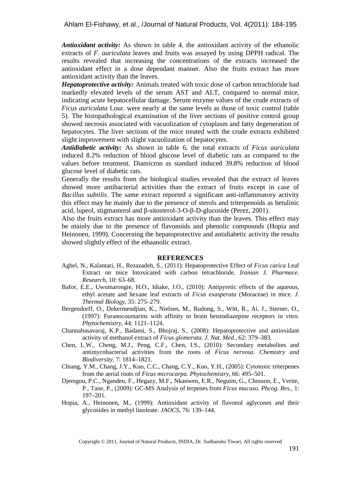*Antioxidant activity:* As shown in table 4, the antioxidant activity of the ethanolic extracts of *F. auriculata* leaves and fruits was assayed by using DPPH radical. The results revealed that increasing the concentrations of the extracts increased the antioxidant effect in a dose dependant manner. Also the fruits extract has more antioxidant activity than the leaves.

*Hepatoprotective activity:* Animals treated with toxic dose of carbon tetrachloride had markedly elevated levels of the serum AST and ALT, compared to normal mice, indicating acute hepatocellular damage. Serum enzyme values of the crude extracts of *Ficus auriculata* Lour. were nearly at the same levels as those of toxic control (table 5). The histopathological examination of the liver sections of positive control group showed necrosis associated with vacuolization of cytoplasm and fatty degeneration of hepatocytes. The liver sections of the mice treated with the crude extracts exhibited slight improvement with slight vacuolization of hepatocytes.

*Antidiabetic activity:* As shown in table 6, the total extracts of *Ficus auriculata* induced 8.2% reduction of blood glucose level of diabetic rats as compared to the values before treatment. Diamicron as standard induced 39.8% reduction of blood glucose level of diabetic rats.

Generally the results from the biological studies revealed that the extract of leaves showed more antibacterial activities than the extract of fruits except in case of *Bacillus subtilis*. The same extract reported a significant anti-inflammatory activity this effect may be mainly due to the presence of sterols and triterpenoids as betulinic acid, lupeol, stigmasterol and β-sitosterol-3-O-β-D-glucoside (Perez, 2001).

Also the fruits extract has more antioxidant activity than the leaves. This effect may be mainly due to the presence of flavonoids and phenolic compounds (Hopia and Heinonen, 1999). Concerning the hepatoprotective and antidiabetic activity the results showed slightly effect of the ethaanolic extract.

#### **REFERENCES**

- Aghel, N., Kalantari, H., Rezazadeh, S., (2011): Hepatoprotective Effect of *Ficus carica* Leaf Extract on mice Intoxicated with carbon tetrachloride. *Iranian J. Pharmace. Research*, 10: 63–68.
- Bafor, E.E., Uwumarongie, H.O., Idiake, J.O., (2010): Antipyretic effects of the aqueous, ethyl acetate and hexane leaf extracts of *Ficus exasperata* (Moraceae) in mice. *J. Thermal Biology*, 35: 275–279.
- Bergendorff, O., Dekermendjian, K., Nielsen, M., Rudong, S., Witt, R., Ai, J., Sterner, O., (1997): Furanocoumarins with affinity to brain benzodiazepine receptors in vitro. *Phytochemistry*, 44: 1121–1124.
- Channabasavaraj, K.P., Badami, S., Bhojraj, S., (2008): Hepatoprotective and antioxidant activity of methanol extract of *Ficus glomerata*. *J. Nat. Med.*, 62: 379–383.
- Chen, L.W., Cheng, M.J., Peng, C.F., Chen, I.S., (2010): Secondary metabolites and antimycobacterial activities from the roots of *Ficus nervosa*. *Chemistry and Biodiversity*, 7: 1814–1821.
- Chiang, Y.M., Chang, J.Y., Kuo, C.C., Chang, C.Y., Kuo, Y.H., (2005): Cytotoxic triterpenes from the aerial roots of *Ficus microcarpa*. *Phytochemistry*, 66: 495–501.
- Djemgou, P.C., Ngandeu, F., Hegazy, M.F., Nkanwen, E.R., Neguim, G., Chosson, E., Verite, P., Tane, P., (2009): GC-MS Analysis of terpenes from *Ficus mucuso*. *Phcog. Res.*, 1: 197–201.
- Hopia, A., Heinonen, M., (1999): Antioxidant activity of flavonol aglycones and their glycosides in methyl linoleate. *JAOCS*, 76: 139–144.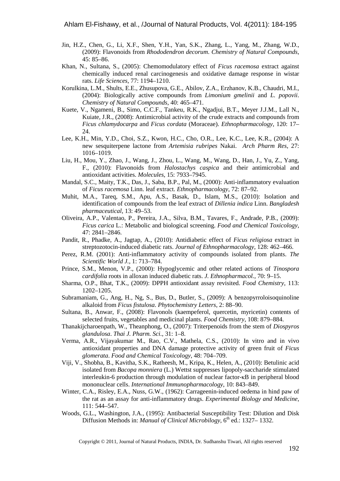- Jin, H.Z., Chen, G., Li, X.F., Shen, Y.H., Yan, S.K., Zhang, L., Yang, M., Zhang, W.D., (2009): Flavonoids from *Rhododendron decorum*. *Chemistry of Natural Compounds*, 45: 85–86.
- Khan, N., Sultana, S., (2005): Chemomodulatory effect of *Ficus racemosa* extract against chemically induced renal carcinogenesis and oxidative damage response in wistar rats. *Life Sciences*, 77: 1194–1210.
- Korulkina, L.M., Shults, E.E., Zhusupova, G.E., Abilov, Z.A., Erzhanov, K.B., Chaudri, M.I., (2004): Biologically active compounds from *Limonium gmelinii* and *L. popovii*. *Chemistry of Natural Compounds*, 40: 465–471.
- Kuete, V., Ngameni, B., Simo, C.C.F., Tankeu, R.K., Ngadjui, B.T., Meyer J.J.M., Lall N., Kuiate, J.R., (2008): Antimicrobial activity of the crude extracts and compounds from *Ficus chlamydocarpa* and *Ficus cordata* (Moraceae). *Ethnopharmacology*, 120: 17– 24.
- Lee, K.H., Min, Y.D., Choi, S.Z., Kwon, H.C., Cho, O.R., Lee, K.C., Lee, K.R., (2004): A new sesquiterpene lactone from *Artemisia rubripes* Nakai. *Arch Pharm Res*, 27: 1016–1019.
- Liu, H., Mou, Y., Zhao, J., Wang, J., Zhou, L., Wang, M., Wang, D., Han, J., Yu, Z., Yang, F., (2010): Flavonoids from *Halostachys caspica* and their antimicrobial and antioxidant activities. *Molecules*, 15: 7933–7945.
- Mandal, S.C., Maity, T.K., Das, J., Saba, B.P., Pal, M., (2000): Anti-inflammatory evaluation of *Ficus racemosa* Linn. leaf extract. *Ethnopharmacology*, 72: 87–92.
- Muhit, M.A., Tareq, S.M., Apu, A.S., Basak, D., Islam, M.S., (2010): Isolation and identification of compounds from the leaf extract of *Dillenia indica* Linn. *Bangladesh pharmaceutical*, 13: 49–53.
- Oliveira, A.P., Valentao, P., Pereira, J.A., Silva, B.M., Tavares, F., Andrade, P.B., (2009): *Ficus carica* L.: Metabolic and biological screening. *Food and Chemical Toxicology*, 47: 2841–2846.
- Pandit, R., Phadke, A., Jagtap, A., (2010): Antidiabetic effect of *Ficus religiosa* extract in streptozotocin-induced diabetic rats. *Journal of Ethnopharmacology*, 128: 462–466.
- Perez, R.M. (2001): Anti-inflammatory activity of compounds isolated from plants. *The Scientific World J.*, 1: 713–784.
- Prince, S.M., Menon, V.P., (2000): Hypoglycemic and other related actions of *Tinospora cardifolia* roots in alloxan induced diabetic rats. *J. Ethnopharmacol.*, 70: 9–15.
- Sharma, O.P., Bhat, T.K., (2009): DPPH antioxidant assay revisited. *Food Chemistry*, 113: 1202–1205.
- Subramaniam, G., Ang, H., Ng, S., Bus, D., Butler, S., (2009): A benzopyrroloisoquinoline alkaloid from *Ficus fistulosa*. *Phytochemistry Letters*, 2: 88–90.
- Sultana, B., Anwar, F., (2008): Flavonols (kaempeferol, quercetin, myricetin) contents of selected fruits, vegetables and medicinal plants. *Food Chemistry*, 108: 879–884.
- Thanakijcharoenpath, W., Theanphong, O., (2007): Triterpenoids from the stem of *Diospyros glandulosa*. *Thai J. Pharm. Sci.*, 31: 1–8.
- Verma, A.R., Vijayakumar M., Rao, C.V., Mathela, C.S., (2010): In vitro and in vivo antioxidant properties and DNA damage protective activity of green fruit of *Ficus glomerata*. *Food and Chemical Toxicology*, 48: 704–709.
- Viji, V., Shobha, B., Kavitha, S.K., Ratheesh, M., Kripa, K., Helen, A., (2010): Betulinic acid isolated from *Bacopa monniera* (L.) Wettst suppresses lipopoly-saccharide stimulated interleukin-6 production through modulation of nuclear factor-κB in peripheral blood mononuclear cells. *International Immunopharmacology*, 10: 843–849.
- Winter, C.A., Risley, E.A., Nuss, G.W., (1962): Carrageenin-induced oedema in hind paw of the rat as an assay for anti-inflammatory drugs. *Experimental Biology and Medicine*, 111: 544–547.
- Woods, G.L., Washington, J.A., (1995): Antibacterial Susceptibility Test: Dilution and Disk Diffusion Methods in: *Manual of Clinical Microbilogy*, 6<sup>th</sup> ed.: 1327–1332.

Copyright © 2011, Journal of Natural Products, INDIA, Dr. Sudhanshu Tiwari, All rights reserved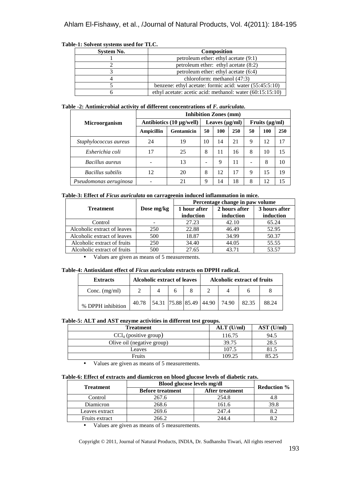| ic-1. Solvent systems used for TLC. |                                                           |  |  |  |
|-------------------------------------|-----------------------------------------------------------|--|--|--|
| <b>System No.</b>                   | <b>Composition</b>                                        |  |  |  |
|                                     | petroleum ether: ethyl acetate (9:1)                      |  |  |  |
|                                     | petroleum ether: ethyl acetate $(8:2)$                    |  |  |  |
|                                     | petroleum ether: ethyl acetate (6:4)                      |  |  |  |
|                                     | chloroform: methanol $(47:3)$                             |  |  |  |
|                                     | benzene: ethyl acetate: formic acid: water (55:45:5:10)   |  |  |  |
|                                     | ethyl acetate: acetic acid: methanol: water (60:15:15:10) |  |  |  |

# **Table-1: Solvent systems used for TLC.**

#### **Table -2: Antimicrobial activity of different concentrations of** *F. auriculata***.**

|                        | <b>Inhibition Zones (mm)</b>  |                     |    |     |                     |    |     |     |
|------------------------|-------------------------------|---------------------|----|-----|---------------------|----|-----|-----|
| <b>Microorganism</b>   | Antibiotics $(10 \mu g/well)$ | Leaves $(\mu g/ml)$ |    |     | Fruits $(\mu g/ml)$ |    |     |     |
|                        | <b>Ampicillin</b>             | <b>Gentamicin</b>   | 50 | 100 | 250                 | 50 | 100 | 250 |
| Staphylococcus aureus  | 24                            | 19                  | 10 | 14  | 21                  | 9  | 12  | 17  |
| Esherichia coli        | 17                            | 25                  | 8  | 11  | 16                  | 8  | 10  | 15  |
| Bacillus aureus        |                               | 13                  |    | 9   | 11                  |    | 8   | 10  |
| Bacillus subtilis      | 12                            | 20                  | 8  | 12  | 17                  | 9  | 15  | 19  |
| Pseudomonas aeruginosa |                               | 21                  | 9  | 14  | 18                  | 8  | 12  | 15  |

#### **Table-3: Effect of** *Ficus auriculata* **on carrageenin induced inflammation in mice.**

|                             |            | Percentage change in paw volume |               |               |  |  |
|-----------------------------|------------|---------------------------------|---------------|---------------|--|--|
| <b>Treatment</b>            | Dose mg/kg | 1 hour after                    | 2 hours after | 3 hours after |  |  |
|                             |            | induction                       | induction     | induction     |  |  |
| Control                     |            | 27.23                           | 42.10         | 65.24         |  |  |
| Alcoholic extract of leaves | 250        | 22.88                           | 46.49         | 52.95         |  |  |
| Alcoholic extract of leaves | 500        | 18.87                           | 34.99         | 50.37         |  |  |
| Alcoholic extract of fruits | 250        | 34.40                           | 44.05         | 55.55         |  |  |
| Alcoholic extract of fruits | 500        | 27.65                           | 43.71         | 53.57         |  |  |

• Values are given as means of 5 measurements.

### **Table-4: Antioxidant effect of** *Ficus auriculata* **extracts on DPPH radical.**

| <b>Extracts</b>   | <b>Alcoholic extract of leaves</b> |                         | <b>Alcoholic extract of fruits</b> |  |       |       |       |
|-------------------|------------------------------------|-------------------------|------------------------------------|--|-------|-------|-------|
| Conc. $(mg/ml)$   |                                    |                         | 8                                  |  |       |       |       |
| % DPPH inhibition | 40.78                              | 54.31 75.88 85.49 44.90 |                                    |  | 74.90 | 82.35 | 88.24 |

#### **Table-5: ALT and AST enzyme activities in different test groups.**

| <b>Treatment</b>           | $ALT$ (U/ml) | AST (U/ml) |
|----------------------------|--------------|------------|
| $CCl4$ (positive group)    | 116.75       | 94.5       |
| Olive oil (negative group) | 39.75        | 28.5       |
| Leaves                     | 107.5        | 81.5       |
| <b>Fruits</b>              | 109.25       | 85.25      |

• Values are given as means of 5 measurements.

#### **Table-6: Effect of extracts and diamicron on blood glucose levels of diabetic rats.**

| <b>Treatment</b> | Blood glucose levels mg/dl | <b>Reduction</b> %     |      |
|------------------|----------------------------|------------------------|------|
|                  | <b>Before treatment</b>    | <b>After treatment</b> |      |
| Control          | 267.6                      | 254.8                  | 4.8  |
| Diamicron        | 268.6                      | 161.6                  | 39.8 |
| Leaves extract   | 269.6                      | 247.4                  |      |
| Fruits extract   | 266.2                      | 244.4                  |      |

• Values are given as means of 5 measurements.

Copyright © 2011, Journal of Natural Products, INDIA, Dr. Sudhanshu Tiwari, All rights reserved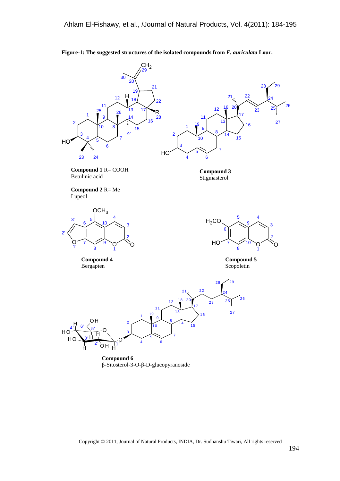

**Figure-1: The suggested structures of the isolated compounds from** *F. auriculata* **Lour.** 

**Compound 6**  β-Sitosterol-3-O-β-D-glucopyranoside